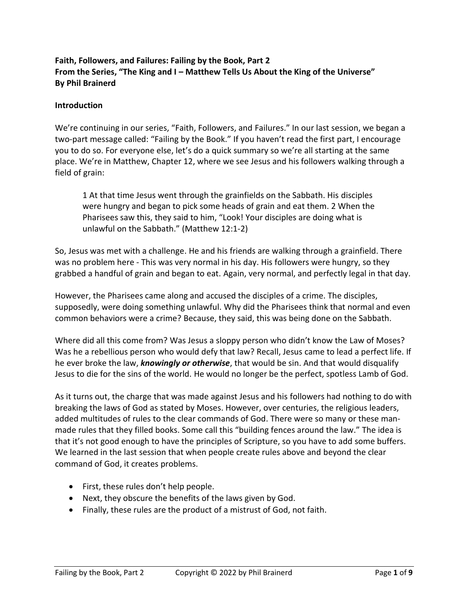# **Faith, Followers, and Failures: Failing by the Book, Part 2 From the Series, "The King and I – Matthew Tells Us About the King of the Universe" By Phil Brainerd**

### **Introduction**

We're continuing in our series, "Faith, Followers, and Failures." In our last session, we began a two-part message called: "Failing by the Book." If you haven't read the first part, I encourage you to do so. For everyone else, let's do a quick summary so we're all starting at the same place. We're in Matthew, Chapter 12, where we see Jesus and his followers walking through a field of grain:

1 At that time Jesus went through the grainfields on the Sabbath. His disciples were hungry and began to pick some heads of grain and eat them. 2 When the Pharisees saw this, they said to him, "Look! Your disciples are doing what is unlawful on the Sabbath." (Matthew 12:1-2)

So, Jesus was met with a challenge. He and his friends are walking through a grainfield. There was no problem here - This was very normal in his day. His followers were hungry, so they grabbed a handful of grain and began to eat. Again, very normal, and perfectly legal in that day.

However, the Pharisees came along and accused the disciples of a crime. The disciples, supposedly, were doing something unlawful. Why did the Pharisees think that normal and even common behaviors were a crime? Because, they said, this was being done on the Sabbath.

Where did all this come from? Was Jesus a sloppy person who didn't know the Law of Moses? Was he a rebellious person who would defy that law? Recall, Jesus came to lead a perfect life. If he ever broke the law, *knowingly or otherwise*, that would be sin. And that would disqualify Jesus to die for the sins of the world. He would no longer be the perfect, spotless Lamb of God.

As it turns out, the charge that was made against Jesus and his followers had nothing to do with breaking the laws of God as stated by Moses. However, over centuries, the religious leaders, added multitudes of rules to the clear commands of God. There were so many or these manmade rules that they filled books. Some call this "building fences around the law." The idea is that it's not good enough to have the principles of Scripture, so you have to add some buffers. We learned in the last session that when people create rules above and beyond the clear command of God, it creates problems.

- First, these rules don't help people.
- Next, they obscure the benefits of the laws given by God.
- Finally, these rules are the product of a mistrust of God, not faith.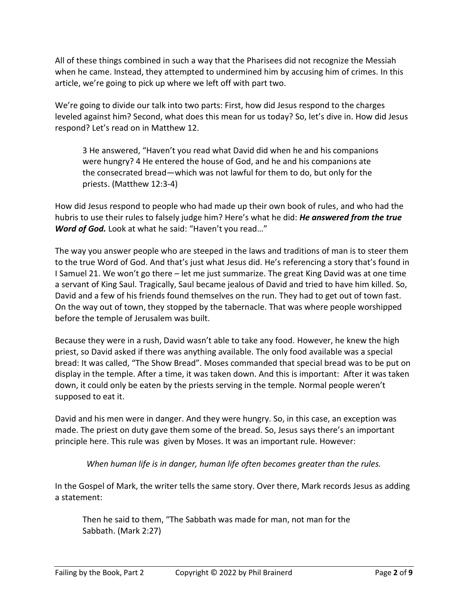All of these things combined in such a way that the Pharisees did not recognize the Messiah when he came. Instead, they attempted to undermined him by accusing him of crimes. In this article, we're going to pick up where we left off with part two.

We're going to divide our talk into two parts: First, how did Jesus respond to the charges leveled against him? Second, what does this mean for us today? So, let's dive in. How did Jesus respond? Let's read on in Matthew 12.

3 He answered, "Haven't you read what David did when he and his companions were hungry? 4 He entered the house of God, and he and his companions ate the consecrated bread—which was not lawful for them to do, but only for the priests. (Matthew 12:3-4)

How did Jesus respond to people who had made up their own book of rules, and who had the hubris to use their rules to falsely judge him? Here's what he did: *He answered from the true Word of God.* Look at what he said: "Haven't you read…"

The way you answer people who are steeped in the laws and traditions of man is to steer them to the true Word of God. And that's just what Jesus did. He's referencing a story that's found in I Samuel 21. We won't go there – let me just summarize. The great King David was at one time a servant of King Saul. Tragically, Saul became jealous of David and tried to have him killed. So, David and a few of his friends found themselves on the run. They had to get out of town fast. On the way out of town, they stopped by the tabernacle. That was where people worshipped before the temple of Jerusalem was built.

Because they were in a rush, David wasn't able to take any food. However, he knew the high priest, so David asked if there was anything available. The only food available was a special bread: It was called, "The Show Bread". Moses commanded that special bread was to be put on display in the temple. After a time, it was taken down. And this is important: After it was taken down, it could only be eaten by the priests serving in the temple. Normal people weren't supposed to eat it.

David and his men were in danger. And they were hungry. So, in this case, an exception was made. The priest on duty gave them some of the bread. So, Jesus says there's an important principle here. This rule was given by Moses. It was an important rule. However:

*When human life is in danger, human life often becomes greater than the rules.*

In the Gospel of Mark, the writer tells the same story. Over there, Mark records Jesus as adding a statement:

Then he said to them, "The Sabbath was made for man, not man for the Sabbath. (Mark 2:27)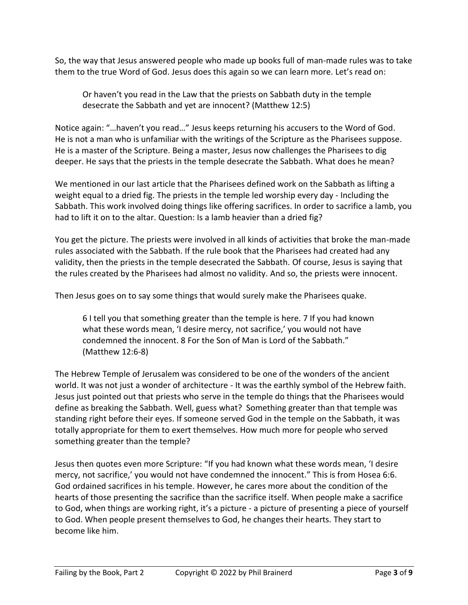So, the way that Jesus answered people who made up books full of man-made rules was to take them to the true Word of God. Jesus does this again so we can learn more. Let's read on:

Or haven't you read in the Law that the priests on Sabbath duty in the temple desecrate the Sabbath and yet are innocent? (Matthew 12:5)

Notice again: "…haven't you read…" Jesus keeps returning his accusers to the Word of God. He is not a man who is unfamiliar with the writings of the Scripture as the Pharisees suppose. He is a master of the Scripture. Being a master, Jesus now challenges the Pharisees to dig deeper. He says that the priests in the temple desecrate the Sabbath. What does he mean?

We mentioned in our last article that the Pharisees defined work on the Sabbath as lifting a weight equal to a dried fig. The priests in the temple led worship every day - Including the Sabbath. This work involved doing things like offering sacrifices. In order to sacrifice a lamb, you had to lift it on to the altar. Question: Is a lamb heavier than a dried fig?

You get the picture. The priests were involved in all kinds of activities that broke the man-made rules associated with the Sabbath. If the rule book that the Pharisees had created had any validity, then the priests in the temple desecrated the Sabbath. Of course, Jesus is saying that the rules created by the Pharisees had almost no validity. And so, the priests were innocent.

Then Jesus goes on to say some things that would surely make the Pharisees quake.

6 I tell you that something greater than the temple is here. 7 If you had known what these words mean, 'I desire mercy, not sacrifice,' you would not have condemned the innocent. 8 For the Son of Man is Lord of the Sabbath." (Matthew 12:6-8)

The Hebrew Temple of Jerusalem was considered to be one of the wonders of the ancient world. It was not just a wonder of architecture - It was the earthly symbol of the Hebrew faith. Jesus just pointed out that priests who serve in the temple do things that the Pharisees would define as breaking the Sabbath. Well, guess what? Something greater than that temple was standing right before their eyes. If someone served God in the temple on the Sabbath, it was totally appropriate for them to exert themselves. How much more for people who served something greater than the temple?

Jesus then quotes even more Scripture: "If you had known what these words mean, 'I desire mercy, not sacrifice,' you would not have condemned the innocent." This is from Hosea 6:6. God ordained sacrifices in his temple. However, he cares more about the condition of the hearts of those presenting the sacrifice than the sacrifice itself. When people make a sacrifice to God, when things are working right, it's a picture - a picture of presenting a piece of yourself to God. When people present themselves to God, he changes their hearts. They start to become like him.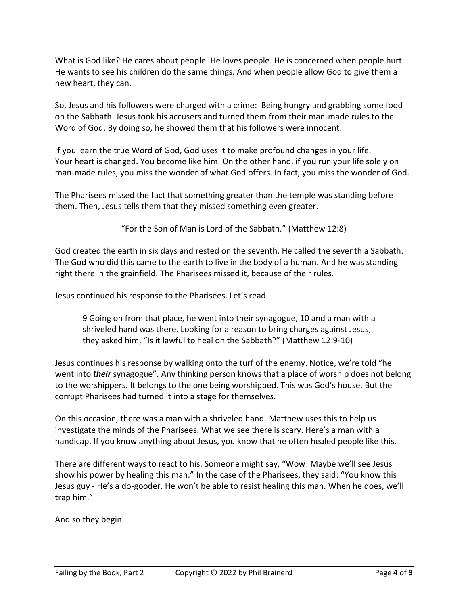What is God like? He cares about people. He loves people. He is concerned when people hurt. He wants to see his children do the same things. And when people allow God to give them a new heart, they can.

So, Jesus and his followers were charged with a crime: Being hungry and grabbing some food on the Sabbath. Jesus took his accusers and turned them from their man-made rules to the Word of God. By doing so, he showed them that his followers were innocent.

If you learn the true Word of God, God uses it to make profound changes in your life. Your heart is changed. You become like him. On the other hand, if you run your life solely on man-made rules, you miss the wonder of what God offers. In fact, you miss the wonder of God.

The Pharisees missed the fact that something greater than the temple was standing before them. Then, Jesus tells them that they missed something even greater.

"For the Son of Man is Lord of the Sabbath." (Matthew 12:8)

God created the earth in six days and rested on the seventh. He called the seventh a Sabbath. The God who did this came to the earth to live in the body of a human. And he was standing right there in the grainfield. The Pharisees missed it, because of their rules.

Jesus continued his response to the Pharisees. Let's read.

9 Going on from that place, he went into their synagogue, 10 and a man with a shriveled hand was there. Looking for a reason to bring charges against Jesus, they asked him, "Is it lawful to heal on the Sabbath?" (Matthew 12:9-10)

Jesus continues his response by walking onto the turf of the enemy. Notice, we're told "he went into *their* synagogue". Any thinking person knows that a place of worship does not belong to the worshippers. It belongs to the one being worshipped. This was God's house. But the corrupt Pharisees had turned it into a stage for themselves.

On this occasion, there was a man with a shriveled hand. Matthew uses this to help us investigate the minds of the Pharisees. What we see there is scary. Here's a man with a handicap. If you know anything about Jesus, you know that he often healed people like this.

There are different ways to react to his. Someone might say, "Wow! Maybe we'll see Jesus show his power by healing this man." In the case of the Pharisees, they said: "You know this Jesus guy - He's a do-gooder. He won't be able to resist healing this man. When he does, we'll trap him."

And so they begin: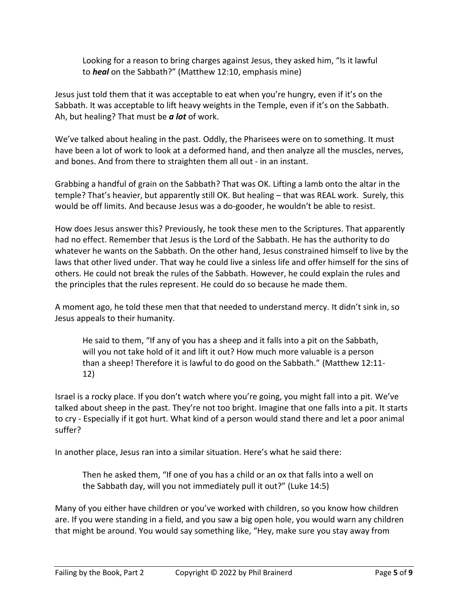Looking for a reason to bring charges against Jesus, they asked him, "Is it lawful to *heal* on the Sabbath?" (Matthew 12:10, emphasis mine)

Jesus just told them that it was acceptable to eat when you're hungry, even if it's on the Sabbath. It was acceptable to lift heavy weights in the Temple, even if it's on the Sabbath. Ah, but healing? That must be *a lot* of work.

We've talked about healing in the past. Oddly, the Pharisees were on to something. It must have been a lot of work to look at a deformed hand, and then analyze all the muscles, nerves, and bones. And from there to straighten them all out - in an instant.

Grabbing a handful of grain on the Sabbath? That was OK. Lifting a lamb onto the altar in the temple? That's heavier, but apparently still OK. But healing – that was REAL work. Surely, this would be off limits. And because Jesus was a do-gooder, he wouldn't be able to resist.

How does Jesus answer this? Previously, he took these men to the Scriptures. That apparently had no effect. Remember that Jesus is the Lord of the Sabbath. He has the authority to do whatever he wants on the Sabbath. On the other hand, Jesus constrained himself to live by the laws that other lived under. That way he could live a sinless life and offer himself for the sins of others. He could not break the rules of the Sabbath. However, he could explain the rules and the principles that the rules represent. He could do so because he made them.

A moment ago, he told these men that that needed to understand mercy. It didn't sink in, so Jesus appeals to their humanity.

He said to them, "If any of you has a sheep and it falls into a pit on the Sabbath, will you not take hold of it and lift it out? How much more valuable is a person than a sheep! Therefore it is lawful to do good on the Sabbath." (Matthew 12:11- 12)

Israel is a rocky place. If you don't watch where you're going, you might fall into a pit. We've talked about sheep in the past. They're not too bright. Imagine that one falls into a pit. It starts to cry - Especially if it got hurt. What kind of a person would stand there and let a poor animal suffer?

In another place, Jesus ran into a similar situation. Here's what he said there:

Then he asked them, "If one of you has a child or an ox that falls into a well on the Sabbath day, will you not immediately pull it out?" (Luke 14:5)

Many of you either have children or you've worked with children, so you know how children are. If you were standing in a field, and you saw a big open hole, you would warn any children that might be around. You would say something like, "Hey, make sure you stay away from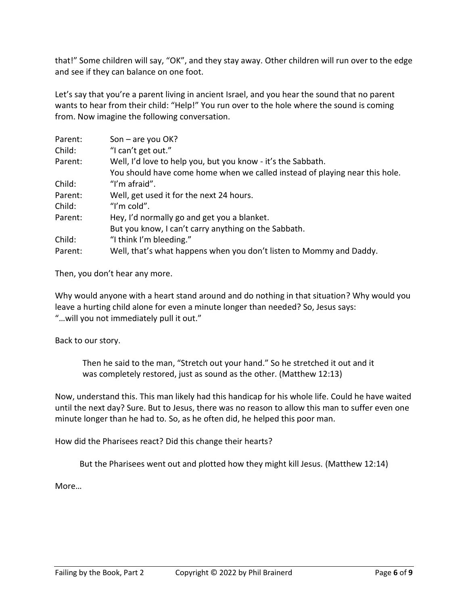that!" Some children will say, "OK", and they stay away. Other children will run over to the edge and see if they can balance on one foot.

Let's say that you're a parent living in ancient Israel, and you hear the sound that no parent wants to hear from their child: "Help!" You run over to the hole where the sound is coming from. Now imagine the following conversation.

| Parent: | Son $-$ are you OK?                                                         |
|---------|-----------------------------------------------------------------------------|
| Child:  | "I can't get out."                                                          |
| Parent: | Well, I'd love to help you, but you know - it's the Sabbath.                |
|         | You should have come home when we called instead of playing near this hole. |
| Child:  | "I'm afraid".                                                               |
| Parent: | Well, get used it for the next 24 hours.                                    |
| Child:  | "I'm cold".                                                                 |
| Parent: | Hey, I'd normally go and get you a blanket.                                 |
|         | But you know, I can't carry anything on the Sabbath.                        |
| Child:  | "I think I'm bleeding."                                                     |
| Parent: | Well, that's what happens when you don't listen to Mommy and Daddy.         |

Then, you don't hear any more.

Why would anyone with a heart stand around and do nothing in that situation? Why would you leave a hurting child alone for even a minute longer than needed? So, Jesus says: "…will you not immediately pull it out."

Back to our story.

Then he said to the man, "Stretch out your hand." So he stretched it out and it was completely restored, just as sound as the other. (Matthew 12:13)

Now, understand this. This man likely had this handicap for his whole life. Could he have waited until the next day? Sure. But to Jesus, there was no reason to allow this man to suffer even one minute longer than he had to. So, as he often did, he helped this poor man.

How did the Pharisees react? Did this change their hearts?

But the Pharisees went out and plotted how they might kill Jesus. (Matthew 12:14)

More…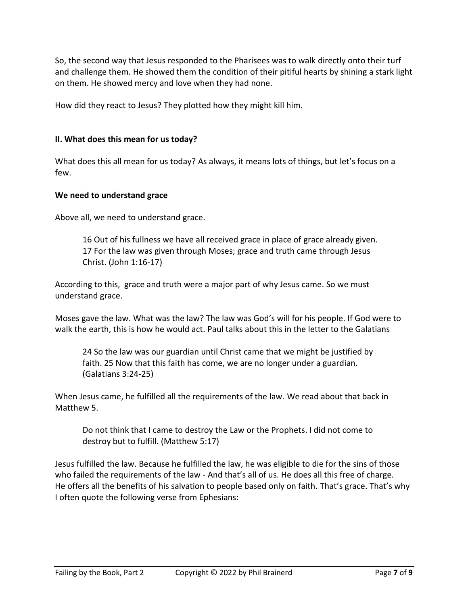So, the second way that Jesus responded to the Pharisees was to walk directly onto their turf and challenge them. He showed them the condition of their pitiful hearts by shining a stark light on them. He showed mercy and love when they had none.

How did they react to Jesus? They plotted how they might kill him.

### **II. What does this mean for us today?**

What does this all mean for us today? As always, it means lots of things, but let's focus on a few.

#### **We need to understand grace**

Above all, we need to understand grace.

16 Out of his fullness we have all received grace in place of grace already given. 17 For the law was given through Moses; grace and truth came through Jesus Christ. (John 1:16-17)

According to this, grace and truth were a major part of why Jesus came. So we must understand grace.

Moses gave the law. What was the law? The law was God's will for his people. If God were to walk the earth, this is how he would act. Paul talks about this in the letter to the Galatians

24 So the law was our guardian until Christ came that we might be justified by faith. 25 Now that this faith has come, we are no longer under a guardian. (Galatians 3:24-25)

When Jesus came, he fulfilled all the requirements of the law. We read about that back in Matthew 5.

Do not think that I came to destroy the Law or the Prophets. I did not come to destroy but to fulfill. (Matthew 5:17)

Jesus fulfilled the law. Because he fulfilled the law, he was eligible to die for the sins of those who failed the requirements of the law - And that's all of us. He does all this free of charge. He offers all the benefits of his salvation to people based only on faith. That's grace. That's why I often quote the following verse from Ephesians: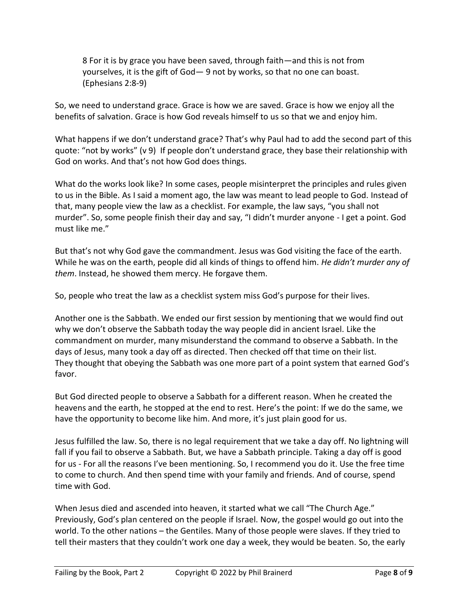8 For it is by grace you have been saved, through faith—and this is not from yourselves, it is the gift of God— 9 not by works, so that no one can boast. (Ephesians 2:8-9)

So, we need to understand grace. Grace is how we are saved. Grace is how we enjoy all the benefits of salvation. Grace is how God reveals himself to us so that we and enjoy him.

What happens if we don't understand grace? That's why Paul had to add the second part of this quote: "not by works" (v 9) If people don't understand grace, they base their relationship with God on works. And that's not how God does things.

What do the works look like? In some cases, people misinterpret the principles and rules given to us in the Bible. As I said a moment ago, the law was meant to lead people to God. Instead of that, many people view the law as a checklist. For example, the law says, "you shall not murder". So, some people finish their day and say, "I didn't murder anyone - I get a point. God must like me."

But that's not why God gave the commandment. Jesus was God visiting the face of the earth. While he was on the earth, people did all kinds of things to offend him. *He didn't murder any of them*. Instead, he showed them mercy. He forgave them.

So, people who treat the law as a checklist system miss God's purpose for their lives.

Another one is the Sabbath. We ended our first session by mentioning that we would find out why we don't observe the Sabbath today the way people did in ancient Israel. Like the commandment on murder, many misunderstand the command to observe a Sabbath. In the days of Jesus, many took a day off as directed. Then checked off that time on their list. They thought that obeying the Sabbath was one more part of a point system that earned God's favor.

But God directed people to observe a Sabbath for a different reason. When he created the heavens and the earth, he stopped at the end to rest. Here's the point: If we do the same, we have the opportunity to become like him. And more, it's just plain good for us.

Jesus fulfilled the law. So, there is no legal requirement that we take a day off. No lightning will fall if you fail to observe a Sabbath. But, we have a Sabbath principle. Taking a day off is good for us - For all the reasons I've been mentioning. So, I recommend you do it. Use the free time to come to church. And then spend time with your family and friends. And of course, spend time with God.

When Jesus died and ascended into heaven, it started what we call "The Church Age." Previously, God's plan centered on the people if Israel. Now, the gospel would go out into the world. To the other nations – the Gentiles. Many of those people were slaves. If they tried to tell their masters that they couldn't work one day a week, they would be beaten. So, the early